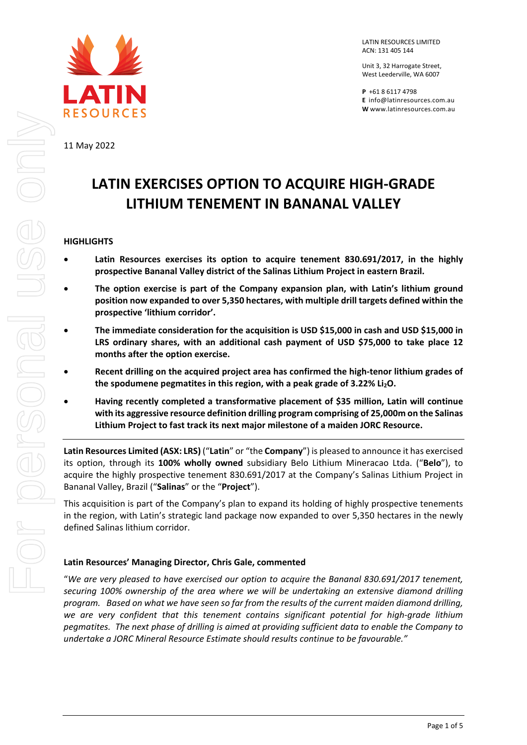

11 May 2022

LATIN RESOURCES LIMITED ACN: 131 405 144

Unit 3, 32 Harrogate Street, West Leederville, WA 6007

**P** +61 8 6117 4798 **E** [info@latinresources.com.au](mailto:info@latinresources.com.au) **W** [www.latinresources.com.au](http://www.latinresources.com.au/) 

# **LATIN EXERCISES OPTION TO ACQUIRE HIGH-GRADE LITHIUM TENEMENT IN BANANAL VALLEY**

## **HIGHLIGHTS**

- Latin Resources exercises its option to acquire tenement 830.691/2017, in the highly **prospective Bananal Valley district of the Salinas Lithium Project in eastern Brazil.**
- **The option exercise is part of the Company expansion plan, with Latin's lithium ground position now expanded to over 5,350 hectares, with multiple drill targets defined within the prospective 'lithium corridor'.**
- **The immediate consideration for the acquisition is USD \$15,000 in cash and USD \$15,000 in LRS ordinary shares, with an additional cash payment of USD \$75,000 to take place 12 months after the option exercise.**
- **Recent drilling on the acquired project area has confirmed the high-tenor lithium grades of**  the spodumene pegmatites in this region, with a peak grade of 3.22% Li<sub>2</sub>O.
- **Having recently completed a transformative placement of \$35 million, Latin will continue with its aggressive resource definition drilling program comprising of 25,000m on the Salinas Lithium Project to fast track its next major milestone of a maiden JORC Resource.**

**Latin Resources Limited (ASX: LRS)** ("**Latin**" or "the **Company**") is pleased to announce it has exercised its option, through its **100% wholly owned** subsidiary Belo Lithium Mineracao Ltda. ("**Belo**"), to acquire the highly prospective tenement 830.691/2017 at the Company's Salinas Lithium Project in Bananal Valley, Brazil ("**Salinas**" or the "**Project**").

This acquisition is part of the Company's plan to expand its holding of highly prospective tenements in the region, with Latin's strategic land package now expanded to over 5,350 hectares in the newly defined Salinas lithium corridor.

## **Latin Resources' Managing Director, Chris Gale, commented**

"*We are very pleased to have exercised our option to acquire the Bananal 830.691/2017 tenement, securing 100% ownership of the area where we will be undertaking an extensive diamond drilling program. Based on what we have seen so far from the results of the current maiden diamond drilling, we are very confident that this tenement contains significant potential for high-grade lithium pegmatites. The next phase of drilling is aimed at providing sufficient data to enable the Company to undertake a JORC Mineral Resource Estimate should results continue to be favourable."*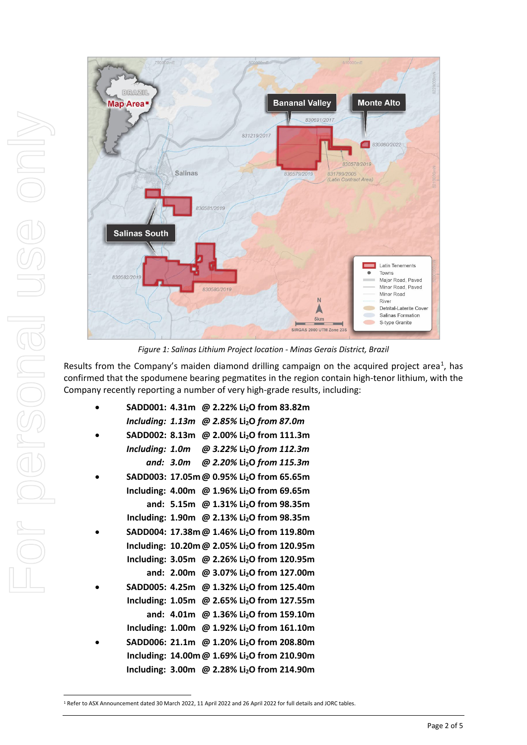

*Figure 1: Salinas Lithium Project location - Minas Gerais District, Brazil*

Results from the Company's maiden diamond drilling campaign on the acquired project area<sup>[1](#page-1-0)</sup>, has confirmed that the spodumene bearing pegmatites in the region contain high-tenor lithium, with the Company recently reporting a number of very high-grade results, including:

| SADD001: 4.31m @ 2.22% Li <sub>2</sub> O from 83.82m         |                                                        |  |  |                                                   |
|--------------------------------------------------------------|--------------------------------------------------------|--|--|---------------------------------------------------|
| Including: $1.13m$ @ 2.85% Li <sub>2</sub> O from 87.0m      |                                                        |  |  |                                                   |
| SADD002: 8.13m @ 2.00% Li <sub>2</sub> O from 111.3m         |                                                        |  |  |                                                   |
| Including: 1.0m $\omega$ 3.22% Li <sub>2</sub> O from 112.3m |                                                        |  |  |                                                   |
|                                                              | and: 3.0m $\omega$ 2.20% Li <sub>2</sub> O from 115.3m |  |  |                                                   |
| SADD003: 17.05m @ 0.95% Li <sub>2</sub> O from 65.65m        |                                                        |  |  |                                                   |
| Including: 4.00m @ 1.96% Li <sub>2</sub> O from 69.65m       |                                                        |  |  |                                                   |
|                                                              | and: 5.15m @ 1.31% Li <sub>2</sub> O from 98.35m       |  |  |                                                   |
| Including: 1.90m @ 2.13% Li <sub>2</sub> O from 98.35m       |                                                        |  |  |                                                   |
| SADD004: 17.38m @ 1.46% Li <sub>2</sub> O from 119.80m       |                                                        |  |  |                                                   |
| Including: 10.20m @ 2.05% Li <sub>2</sub> O from 120.95m     |                                                        |  |  |                                                   |
| Including: 3.05m @ 2.26% Li <sub>2</sub> O from 120.95m      |                                                        |  |  |                                                   |
|                                                              |                                                        |  |  | and: 2.00m @ 3.07% Li <sub>2</sub> O from 127.00m |
| SADD005: 4.25m @ 1.32% Li <sub>2</sub> O from 125.40m        |                                                        |  |  |                                                   |
| Including: 1.05m @ 2.65% Li <sub>2</sub> O from 127.55m      |                                                        |  |  |                                                   |
|                                                              |                                                        |  |  | and: 4.01m @ 1.36% Li <sub>2</sub> O from 159.10m |
| Including: 1.00m @ 1.92% Li <sub>2</sub> O from 161.10m      |                                                        |  |  |                                                   |
| SADD006: 21.1m @ 1.20% Li <sub>2</sub> O from 208.80m        |                                                        |  |  |                                                   |
| Including: 14.00m @ 1.69% Li <sub>2</sub> O from 210.90m     |                                                        |  |  |                                                   |
| Including: 3.00m @ 2.28% Li <sub>2</sub> O from 214.90m      |                                                        |  |  |                                                   |

<span id="page-1-0"></span><sup>1</sup> Refer to ASX Announcement dated 30 March 2022, 11 April 2022 and 26 April 2022 for full details and JORC tables.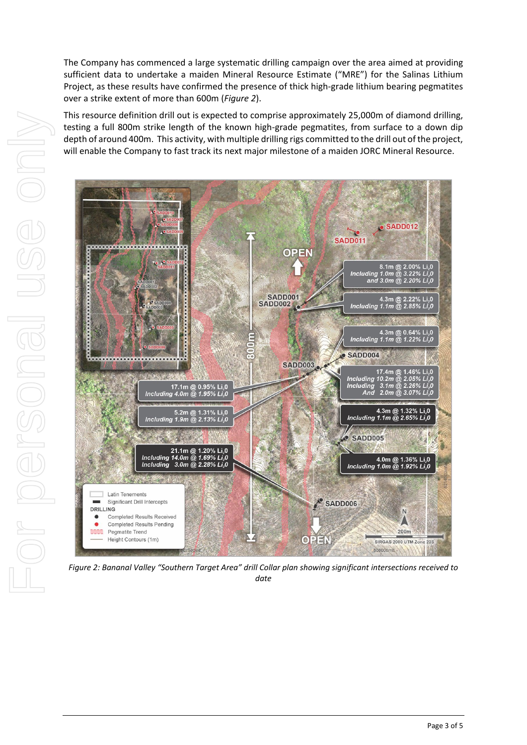The Company has commenced a large systematic drilling campaign over the area aimed at providing sufficient data to undertake a maiden Mineral Resource Estimate ("MRE") for the Salinas Lithium Project, as these results have confirmed the presence of thick high-grade lithium bearing pegmatites over a strike extent of more than 600m (*Figure 2*).

This resource definition drill out is expected to comprise approximately 25,000m of diamond drilling, testing a full 800m strike length of the known high-grade pegmatites, from surface to a down dip depth of around 400m. This activity, with multiple drilling rigs committed to the drill out of the project, will enable the Company to fast track its next major milestone of a maiden JORC Mineral Resource.



*Figure 2: Bananal Valley "Southern Target Area" drill Collar plan showing significant intersections received to date*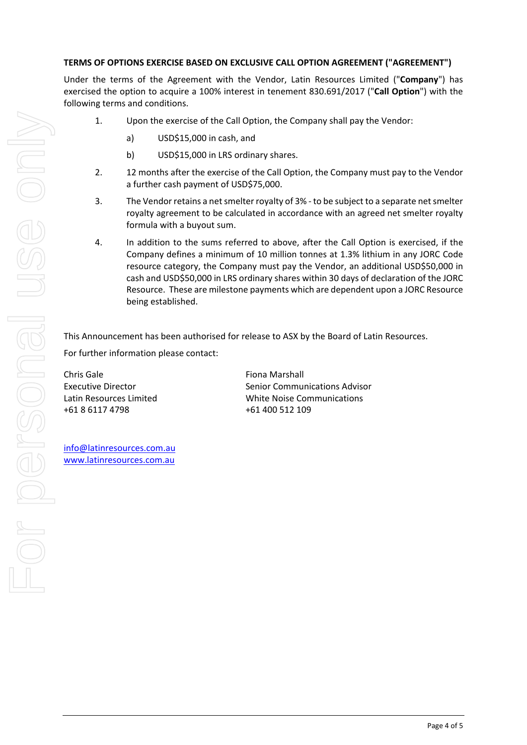## **TERMS OF OPTIONS EXERCISE BASED ON EXCLUSIVE CALL OPTION AGREEMENT ("AGREEMENT")**

Under the terms of the Agreement with the Vendor, Latin Resources Limited ("**Company**") has exercised the option to acquire a 100% interest in tenement 830.691/2017 ("**Call Option**") with the following terms and conditions.

- 1. Upon the exercise of the Call Option, the Company shall pay the Vendor:
	- a) USD\$15,000 in cash, and
	- b) USD\$15,000 in LRS ordinary shares.
- 2. 12 months after the exercise of the Call Option, the Company must pay to the Vendor a further cash payment of USD\$75,000.
- 3. The Vendor retains a net smelter royalty of 3% to be subject to a separate net smelter royalty agreement to be calculated in accordance with an agreed net smelter royalty formula with a buyout sum.
- 4. In addition to the sums referred to above, after the Call Option is exercised, if the Company defines a minimum of 10 million tonnes at 1.3% lithium in any JORC Code resource category, the Company must pay the Vendor, an additional USD\$50,000 in cash and USD\$50,000 in LRS ordinary shares within 30 days of declaration of the JORC Resource. These are milestone payments which are dependent upon a JORC Resource being established.

This Announcement has been authorised for release to ASX by the Board of Latin Resources. For further information please contact:

Chris Gale Executive Director Latin Resources Limited +61 8 6117 4798

Fiona Marshall Senior Communications Advisor White Noise Communications +61 400 512 109

[info@latinresources.com.au](mailto:info@latinresources.com.au) [www.latinresources.com.au](http://www.latinresources.com.au/)